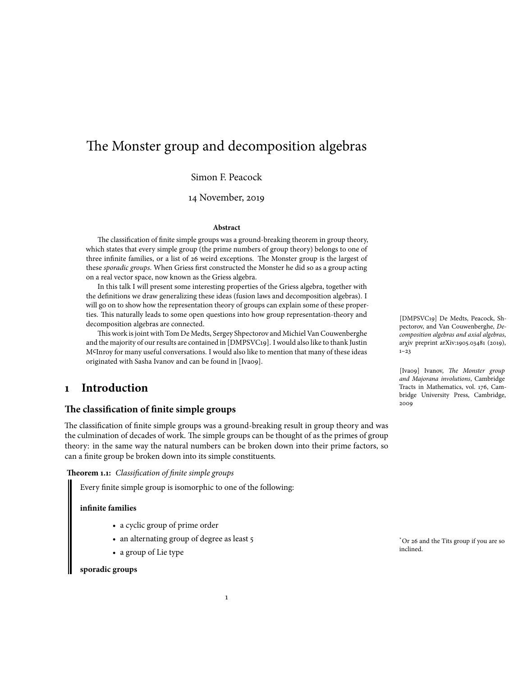# The Monster group and decomposition algebras

Simon F. Peacock

14 November, 2019

#### **Abstract**

The classification of finite simple groups was a ground-breaking theorem in group theory, which states that every simple group (the prime numbers of group theory) belongs to one of three infinite families, or a list of 26 weird exceptions. The Monster group is the largest of these *sporadic groups*. When Griess first constructed the Monster he did so as a group acting on a real vector space, now known as the Griess algebra.

In this talk I will present some interesting properties of the Griess algebra, together with the definitions we draw generalizing these ideas (fusion laws and decomposition algebras). I will go on to show how the representation theory of groups can explain some of these properties. This naturally leads to some open questions into how group representation-theory and decomposition algebras are connected.

This work is joint with Tom De Medts, Sergey Shpectorov and Michiel Van Couwenberghe and the majority of our results are contained in [DMPSVC19]. I would also like to thank Justin McInroy for many useful conversations. I would also like to mention that many of these ideas originated with Sasha Ivanov and can be found in [Ivao9].

### **1 Introduction**

### **The classification of finite simple groups**

The classification of finite simple groups was a ground-breaking result in group theory and was the culmination of decades of work. The simple groups can be thought of as the primes of group theory: in the same way the natural numbers can be broken down into their prime factors, so can a finite group be broken down into its simple constituents.

**Theorem 1.1:** *Classification of finite simple groups*

Every finite simple group is isomorphic to one of the following:

#### **infinite families**

- a cyclic group of prime order
- an alternating group of degree as least 5
- a group of Lie type

### **sporadic groups**

[DMPSVC19] De Medts, Peacock, Shpectorov, and Van Couwenberghe, *Decomposition algebras and axial algebras*, arχiv preprint arXiv:1905.03481 (2019),  $1 - 23$ 

[Iva09] Ivanov, *The Monster group and Majorana involutions*, Cambridge Tracts in Mathematics, vol. 176, Cambridge University Press, Cambridge, 2009

\*Or 26 and the Tits group if you are so inclined.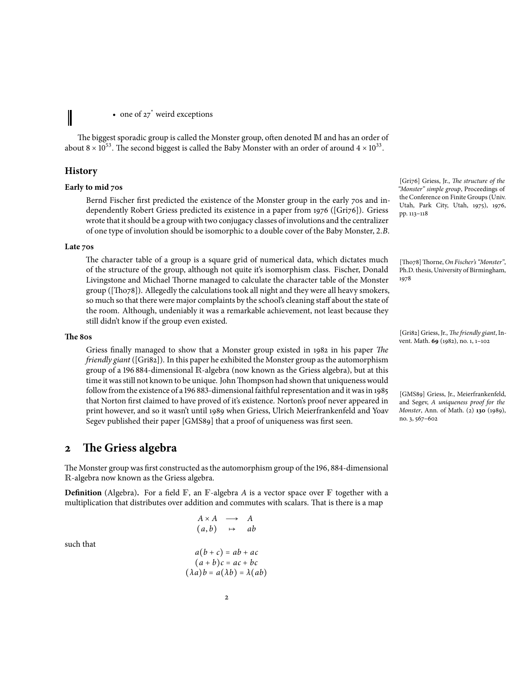• one of  $27^*$  weird exceptions

The biggest sporadic group is called the Monster group, often denoted M and has an order of about 8  $\times$  10<sup>53</sup>. The second biggest is called the Baby Monster with an order of around 4  $\times$  10<sup>33</sup>.

### **History**

I

### **Early to mid 70s**

Bernd Fischer first predicted the existence of the Monster group in the early 70s and independently Robert Griess predicted its existence in a paper from 1976 ([Gri76]). Griess wrote that it should be a groupwith two conjugacy classes of involutions and the centralizer of one type of involution should be isomorphic to a double cover of the Baby Monster, 2.*B*.

#### **Late 70s**

The character table of a group is a square grid of numerical data, which dictates much of the structure of the group, although not quite it's isomorphism class. Fischer, Donald Livingstone and Michael Thorne managed to calculate the character table of the Monster group ([Tho78]). Allegedly the calculations took all night and they were all heavy smokers, so much so that there were major complaints by the school's cleaning staff about the state of the room. Although, undeniably it was a remarkable achievement, not least because they still didn't know if the group even existed.

### **The 80s**

Griess finally managed to show that a Monster group existed in 1982 in his paper *The friendly giant* ([Gri82]). In this paper he exhibited the Monster group as the automorphism group of a 196 884-dimensional R-algebra (now known as the Griess algebra), but at this time it was still not known to be unique. John Thompson had shown that uniqueness would follow from the existence of a 196 883-dimensional faithful representation and it was in 1985 that Norton first claimed to have proved of it's existence. Norton's proof never appeared in print however, and so it wasn't until 1989 when Griess, Ulrich Meierfrankenfeld and Yoav Segev published their paper [GMS89] that a proof of uniqueness was first seen.

### **2 The Griess algebra**

The Monster group was first constructed as the automorphism group of the 196, 884-dimensional R-algebra now known as the Griess algebra.

**Definition** (Algebra). For a field  $\mathbb{F}$ , an  $\mathbb{F}$ -algebra *A* is a vector space over  $\mathbb{F}$  together with a multiplication that distributes over addition and commutes with scalars. That is there is a map

such that

$$
A \times A \longrightarrow A
$$
  
\n
$$
(a, b) \mapsto ab
$$
  
\n
$$
a(b+c) = ab + ac
$$

$$
(a+b)c = ac + bc
$$
  

$$
(\lambda a)b = a(\lambda b) = \lambda(ab)
$$

[Gri76] Griess, Jr., *The structure of the "Monster" simple group*, Proceedings of the Conference on Finite Groups (Univ. Utah, Park City, Utah, 1975), 1976, pp. 113–118

[Tho78] Thorne, *On Fischer's "Monster"*, Ph.D. thesis, University of Birmingham, 1978

[Gri82] Griess, Jr., *The friendly giant*, Invent. Math. **69** (1982), no. 1, 1–102

[GMS89] Griess, Jr., Meierfrankenfeld, and Segev, *A uniqueness proof for the Monster*, Ann. of Math. (2) **130** (1989), no. 3, 567–602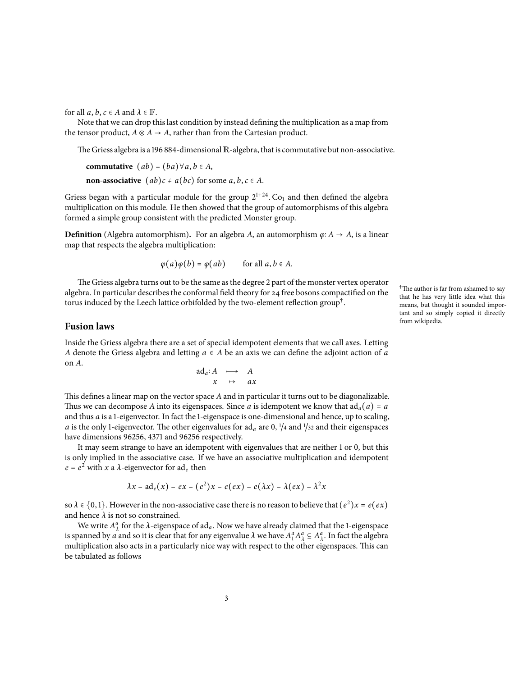for all  $a, b, c \in A$  and  $\lambda \in \mathbb{F}$ .

Note that we can drop thislast condition by instead defining the multiplication as a map from the tensor product,  $A \otimes A \rightarrow A$ , rather than from the Cartesian product.

The Griess algebra is a 196 884-dimensional  $\mathbb R$ -algebra, that is commutative but non-associative.

**commutative**  $(ab) = (ba) \forall a, b \in A$ ,

**non-associative**  $(ab)c \neq a(bc)$  for some  $a, b, c \in A$ .

Griess began with a particular module for the group  $2^{1+24}$ . Co<sub>1</sub> and then defined the algebra multiplication on this module. He then showed that the group of automorphisms of this algebra formed a simple group consistent with the predicted Monster group.

**Definition** (Algebra automorphism). For an algebra *A*, an automorphism  $\varphi$ ∶ *A* → *A*, is a linear map that respects the algebra multiplication:

 $\varphi(a)\varphi(b) = \varphi(ab)$  for all  $a, b \in A$ .

The Griess algebra turns out to be the same as the degree 2 part of the monster vertex operator algebra. In particular describes the conformal field theory for 24 free bosons compactified on the torus induced by the Leech lattice orbifolded by the two-element reflection group $^\dagger.$ 

### **Fusion laws**

Inside the Griess algebra there are a set of special idempotent elements that we call axes. Letting *A* denote the Griess algebra and letting *a* ∈ *A* be an axis we can define the adjoint action of *a* on *A*.

$$
\begin{array}{ccc}\n\text{ad}_a: A & \longmapsto & A \\
x & \mapsto & ax\n\end{array}
$$

This defines a linear map on the vector space *A* and in particular it turns out to be diagonalizable. Thus we can decompose *A* into its eigenspaces. Since *a* is idempotent we know that  $ad_a(a) = a$ and thus *a* is a 1-eigenvector. In fact the 1-eigenspace is one-dimensional and hence, up to scaling, *a* is the only 1-eigenvector. The other eigenvalues for  $ad_a$  are 0,  $1/4$  and  $1/32$  and their eigenspaces have dimensions 96256, 4371 and 96256 respectively.

It may seem strange to have an idempotent with eigenvalues that are neither 1 or 0, but this is only implied in the associative case. If we have an associative multiplication and idempotent  $e = e^2$  with *x* a *λ*-eigenvector for ad<sub>*e*</sub> then

$$
\lambda x = \mathrm{ad}_e(x) = e x = (e^2)x = e(ex) = e(\lambda x) = \lambda (e x) = \lambda^2 x
$$

so  $\lambda \in \{0,1\}$ . However in the non-associative case there is no reason to believe that  $(e^2)x = e(ex)$ and hence  $\lambda$  is not so constrained.

We write  $A^a_\lambda$  for the  $\lambda$ -eigenspace of ad<sub>*a*</sub>. Now we have already claimed that the 1-eigenspace is spanned by *a* and so it is clear that for any eigenvalue  $\lambda$  we have  $A_1^a A_\lambda^a \subseteq A_\lambda^a$ . In fact the algebra multiplication also acts in a particularly nice way with respect to the other eigenspaces. This can be tabulated as follows

<sup>†</sup>The author is far from ashamed to say that he has very little idea what this means, but thought it sounded important and so simply copied it directly from wikipedia.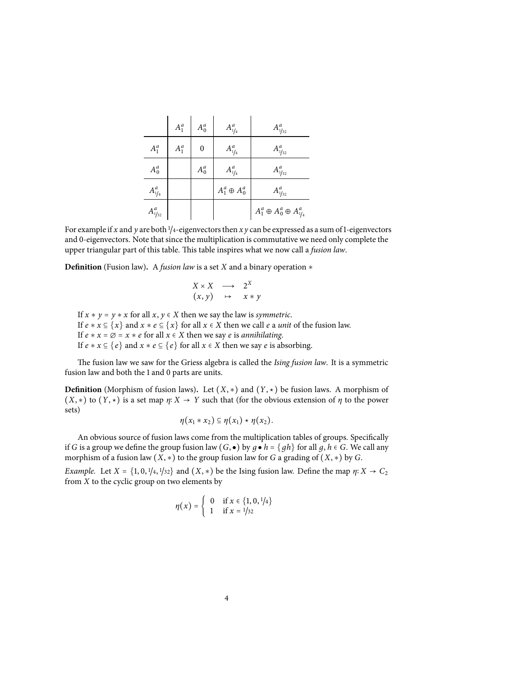|                                     | $A_1^a$ | $A_0^a$        | $A_{1/4}^a$          | $A_{1/32}^a$                          |
|-------------------------------------|---------|----------------|----------------------|---------------------------------------|
| $A_1^a$                             | $A_1^a$ | $\overline{0}$ | $A_{1/4}^a$          | $A^a_{1/32}$                          |
| $A_0^a$                             |         | $A_0^a$        | $A_{1/4}^a$          | $A^a_{1/32}$                          |
| $A_{1/4}^a$                         |         |                | $A_1^a \oplus A_0^a$ | $A^a_{1/32}$                          |
| $A^a_{\scriptscriptstyle 1\!/\!32}$ |         |                |                      | $A_1^a \oplus A_0^a \oplus A_{1/4}^a$ |

For example if *x* and *y* are both <sup>1</sup>/<sup>4</sup>-eigenvectors then *x y* can be expressed as a sum of1-eigenvectors and 0-eigenvectors. Note that since the multiplication is commutative we need only complete the upper triangular part of this table. This table inspires what we now call a *fusion law*.

**Definition** (Fusion law)**.** A *fusion law* is a set *X* and a binary operation *∗*

$$
\begin{array}{ccc}\nX \times X & \longrightarrow & 2^X \\
(x, y) & \mapsto & x * y\n\end{array}
$$

If  $x * y = y * x$  for all  $x, y \in X$  then we say the law is *symmetric*. If  $e * x \subseteq \{x\}$  and  $x * e \subseteq \{x\}$  for all  $x \in X$  then we call  $e$  a *unit* of the fusion law. If  $e * x = \emptyset = x * e$  for all  $x \in X$  then we say *e* is *annihilating*. If *e* ∗ *x* ⊆ {*e*} and *x* ∗ *e* ⊆ {*e*} for all *x* ∈ *X* then we say *e* is absorbing.

The fusion law we saw for the Griess algebra is called the *Ising fusion law*. It is a symmetric fusion law and both the 1 and 0 parts are units.

**Definition** (Morphism of fusion laws). Let  $(X, *)$  and  $(Y, *)$  be fusion laws. A morphism of  $(X, *)$  to  $(Y, *)$  is a set map  $\eta: X \to Y$  such that (for the obvious extension of  $\eta$  to the power sets)

$$
\eta(x_1 * x_2) \subseteq \eta(x_1) \star \eta(x_2).
$$

An obvious source of fusion laws come from the multiplication tables of groups. Specifically if *G* is a group we define the group fusion law  $(G, \bullet)$  by  $g \bullet h = \{ gh \}$  for all  $g, h \in G$ . We call any morphism of a fusion law (*X*, *∗*) to the group fusion law for *G* a grading of (*X*, *∗*) by *G*.

*Example.* Let  $X = \{1, 0, \frac{1}{4}, \frac{1}{32}\}$  and  $(X, *)$  be the Ising fusion law. Define the map  $\eta: X \to C_2$ from *X* to the cyclic group on two elements by

$$
\eta(x) = \begin{cases} 0 & \text{if } x \in \{1, 0, \frac{1}{4}\} \\ 1 & \text{if } x = \frac{1}{32} \end{cases}
$$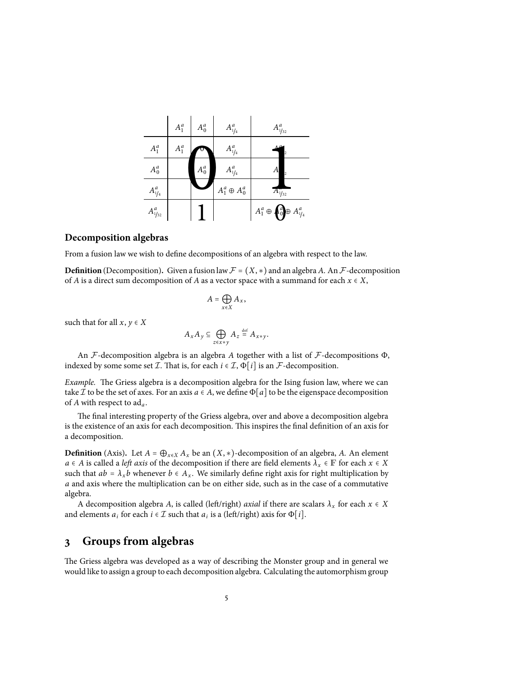|              | $A_1^a$ | $A_0^a$ | $A_{1/4}^a$          | $A^a_{1/32}$                          |
|--------------|---------|---------|----------------------|---------------------------------------|
| $A_1^a$      | $A_1^a$ |         | $A_{1/4}^a$          |                                       |
| $A_0^a$      |         | $A_0^a$ | $A_{1/4}^a$          | А                                     |
| $A_{1/4}^a$  |         |         | $A_1^a \oplus A_0^a$ | $A_{1/32}^{\prime\prime}$             |
| $A^a_{1/32}$ |         |         |                      | $A_1^a \oplus A_0^a \oplus A_{1/4}^a$ |

### **Decomposition algebras**

From a fusion law we wish to define decompositions of an algebra with respect to the law.

**Definition** (Decomposition). Given a fusion law  $\mathcal{F} = (X, *)$  and an algebra *A*. An  $\mathcal{F}$ -decomposition of *A* is a direct sum decomposition of *A* as a vector space with a summand for each  $x \in X$ ,

$$
A=\bigoplus_{x\in X}A_x,
$$

such that for all  $x, y \in X$ 

$$
A_x A_y \subseteq \bigoplus_{z \in x \ast y} A_z \stackrel{\text{def}}{=} A_{x \ast y}.
$$

An *F*-decomposition algebra is an algebra *A* together with a list of *F*-decompositions Φ, indexed by some some set *I*. That is, for each  $i \in I$ ,  $\Phi[i]$  is an *F*-decomposition.

*Example.* The Griess algebra is a decomposition algebra for the Ising fusion law, where we can take *I* to be the set of axes. For an axis  $a \in A$ , we define  $\Phi[a]$  to be the eigenspace decomposition of *A* with respect to ad*a*.

The final interesting property of the Griess algebra, over and above a decomposition algebra is the existence of an axis for each decomposition. This inspires the final definition of an axis for a decomposition.

**Definition** (Axis). Let  $A = \bigoplus_{x \in X} A_x$  be an  $(X, *)$ -decomposition of an algebra, *A*. An element  $a \in A$  is called a *left axis* of the decomposition if there are field elements  $\lambda_x \in \mathbb{F}$  for each  $x \in X$ such that  $ab = \lambda_x b$  whenever  $b \in A_x$ . We similarly define right axis for right multiplication by *a* and axis where the multiplication can be on either side, such as in the case of a commutative algebra.

A decomposition algebra *A*, is called (left/right) *axial* if there are scalars  $\lambda_x$  for each  $x \in X$ and elements  $a_i$  for each  $i \in \mathcal{I}$  such that  $a_i$  is a (left/right) axis for  $\Phi[i]$ .

## **3 Groups from algebras**

The Griess algebra was developed as a way of describing the Monster group and in general we would like to assign a group to each decomposition algebra. Calculating the automorphism group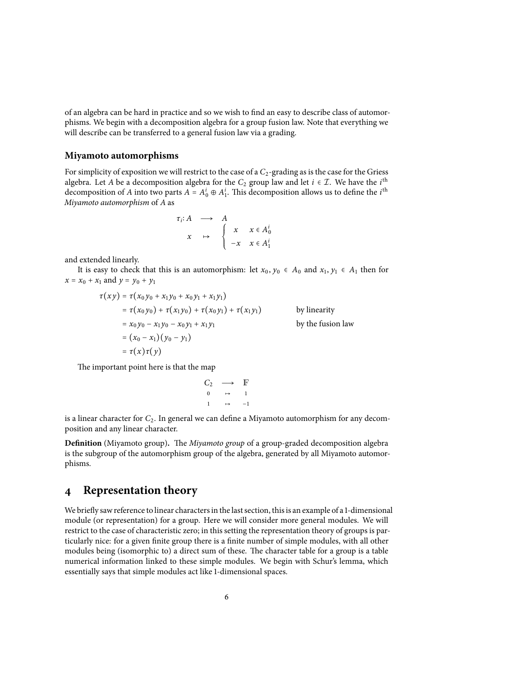of an algebra can be hard in practice and so we wish to find an easy to describe class of automorphisms. We begin with a decomposition algebra for a group fusion law. Note that everything we will describe can be transferred to a general fusion law via a grading.

### **Miyamoto automorphisms**

For simplicity of exposition we will restrict to the case of a *C*2-grading as is the case for the Griess algebra. Let *A* be a decomposition algebra for the  $C_2$  group law and let  $i \in \mathcal{I}$ . We have the  $i^{\text{th}}$ decomposition of *A* into two parts  $A = A_0^i \oplus A_1^i$ . This decomposition allows us to define the *i*<sup>th</sup> *Miyamoto automorphism* of *A* as

$$
\begin{array}{rcl}\n\tau_i: A & \longrightarrow & A \\
x & \mapsto & \begin{cases}\nx & x \in A_0^i \\
-x & x \in A_1^i\n\end{cases}\n\end{array}
$$

and extended linearly.

It is easy to check that this is an automorphism: let  $x_0, y_0 \in A_0$  and  $x_1, y_1 \in A_1$  then for  $x = x_0 + x_1$  and  $y = y_0 + y_1$ 

$$
\tau(xy) = \tau(x_0y_0 + x_1y_0 + x_0y_1 + x_1y_1)
$$
  
\n
$$
= \tau(x_0y_0) + \tau(x_1y_0) + \tau(x_0y_1) + \tau(x_1y_1)
$$
 by linearity  
\n
$$
= x_0y_0 - x_1y_0 - x_0y_1 + x_1y_1
$$
 by the fusion law  
\n
$$
= (x_0 - x_1)(y_0 - y_1)
$$
  
\n
$$
= \tau(x)\tau(y)
$$

The important point here is that the map

$$
C_2 \longrightarrow \mathbb{F}
$$
  
\n
$$
0 \longrightarrow 1
$$
  
\n
$$
1 \longrightarrow -1
$$

is a linear character for *C*2. In general we can define a Miyamoto automorphism for any decomposition and any linear character.

**Definition** (Miyamoto group)**.** The *Miyamoto group* of a group-graded decomposition algebra is the subgroup of the automorphism group of the algebra, generated by all Miyamoto automorphisms.

### **4 Representation theory**

We briefly sawreference to linear charactersin the last section, thisis an example of a 1-dimensional module (or representation) for a group. Here we will consider more general modules. We will restrict to the case of characteristic zero; in this setting the representation theory of groups is particularly nice: for a given finite group there is a finite number of simple modules, with all other modules being (isomorphic to) a direct sum of these. The character table for a group is a table numerical information linked to these simple modules. We begin with Schur's lemma, which essentially says that simple modules act like 1-dimensional spaces.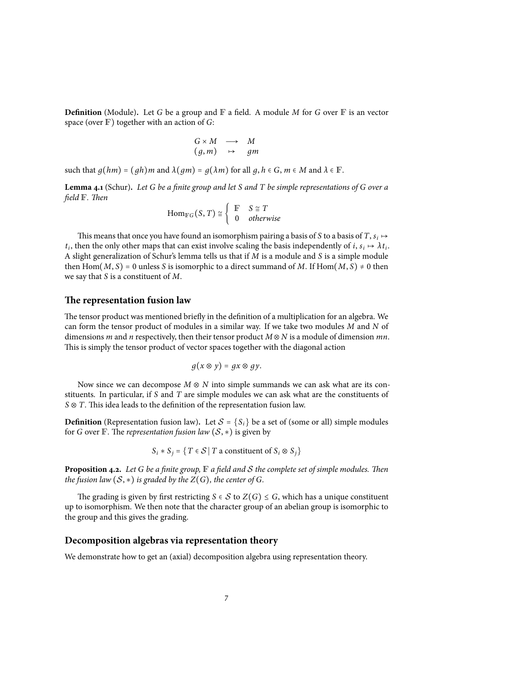**Definition** (Module). Let *G* be a group and  $\mathbb{F}$  a field. A module *M* for *G* over  $\mathbb{F}$  is an vector space (over <sup>F</sup>) together with an action of *<sup>G</sup>*:

$$
\begin{array}{ccc} G \times M & \longrightarrow & M \\ (g, m) & \mapsto & gm \end{array}
$$

such that  $g(hm) = (gh)m$  and  $\lambda(gm) = g(\lambda m)$  for all  $g, h \in G, m \in M$  and  $\lambda \in \mathbb{F}$ .

Lemma 4.1 (Schur). Let G be a finite group and let S and T be simple representations of G over a *field* F*. Then*

$$
\operatorname{Hom}_{\mathbb{F}G}(S,T) \cong \left\{ \begin{array}{ll} \mathbb{F} & S \cong T \\ 0 & \text{otherwise} \end{array} \right.
$$

This means that once you have found an isomorphism pairing a basis of *S* to a basis of *T*,  $s_i \mapsto$  $t_i$ , then the only other maps that can exist involve scaling the basis independently of *i*,  $s_i \mapsto \lambda t_i$ . A slight generalization of Schur's lemma tells us that if *M* is a module and *S* is a simple module then Hom $(M, S) = 0$  unless *S* is isomorphic to a direct summand of *M*. If Hom $(M, S) \neq 0$  then we say that *S* is a constituent of *M*.

### **The representation fusion law**

The tensor product was mentioned briefly in the definition of a multiplication for an algebra. We can form the tensor product of modules in a similar way. If we take two modules *M* and *N* of dimensions *m* and *n* respectively, then their tensor product *M* ⊗ *N* is a module of dimension *mn*. This is simply the tensor product of vector spaces together with the diagonal action

$$
g(x\otimes y)=gx\otimes gy.
$$

Now since we can decompose *M* ⊗ *N* into simple summands we can ask what are its constituents. In particular, if *S* and *T* are simple modules we can ask what are the constituents of *S* ⊗ *T*. This idea leads to the definition of the representation fusion law.

**Definition** (Representation fusion law). Let  $S = \{S_i\}$  be a set of (some or all) simple modules for *G* over  $\mathbb{F}$ . The *representation fusion law*  $(S, *)$  is given by

$$
S_i * S_j = \{ T \in S \mid T \text{ a constituent of } S_i \otimes S_j \}
$$

**Proposition 4.2.** *Let <sup>G</sup> be a finite group,* <sup>F</sup> *a field and <sup>S</sup> the complete set of simple modules. Then the fusion law*  $(S, *)$  *is graded by the*  $Z(G)$ *, the center of*  $G$ *.* 

The grading is given by first restricting  $S \in S$  to  $Z(G) \leq G$ , which has a unique constituent up to isomorphism. We then note that the character group of an abelian group is isomorphic to the group and this gives the grading.

### **Decomposition algebras via representation theory**

We demonstrate how to get an (axial) decomposition algebra using representation theory.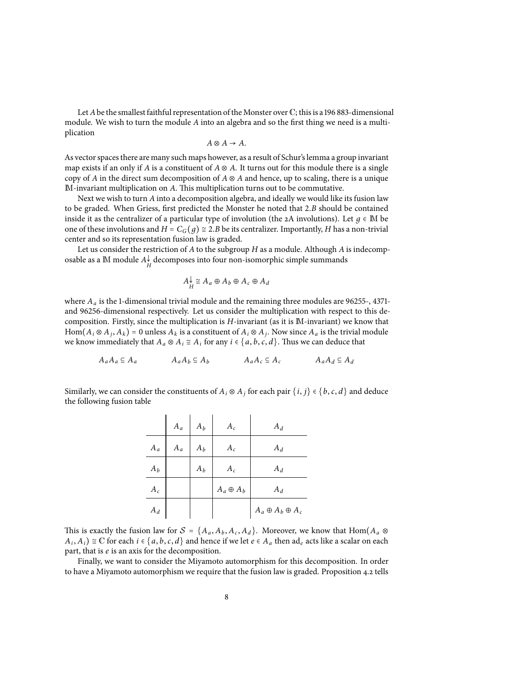Let *A* be the smallest faithful representation of the Monster over  $\mathbb{C}$ ; this is a 196 883-dimensional module. We wish to turn the module *A* into an algebra and so the first thing we need is a multiplication

$$
A\otimes A\to A.
$$

As vector spaces there are many such maps however, as a result of Schur'slemma a group invariant map exists if an only if *A* is a constituent of  $A \otimes A$ . It turns out for this module there is a single copy of *A* in the direct sum decomposition of  $A \otimes A$  and hence, up to scaling, there is a unique M-invariant multiplication on *A*. This multiplication turns out to be commutative.

Next we wish to turn *A* into a decomposition algebra, and ideally we would like its fusion law to be graded. When Griess, first predicted the Monster he noted that 2.*B* should be contained inside it as the centralizer of a particular type of involution (the 2A involutions). Let  $q \in M$  be one of these involutions and  $H = C_G(q) \approx 2.B$  be its centralizer. Importantly, *H* has a non-trivial center and so its representation fusion law is graded.

Let us consider the restriction of *A* to the subgroup *H* as a module. Although *A* is indecomposable as a  $M$  module  $A_H^{\downarrow}$  decomposes into four non-isomorphic simple summands

$$
A_H^{\downarrow} \cong A_a \oplus A_b \oplus A_c \oplus A_d
$$

where  $A_a$  is the 1-dimensional trivial module and the remaining three modules are 96255-, 4371and 96256-dimensional respectively. Let us consider the multiplication with respect to this decomposition. Firstly, since the multiplication is *H*-invariant (as it is M-invariant) we know that Hom $(A_i \otimes A_j, A_k) = 0$  unless  $A_k$  is a constituent of  $A_i \otimes A_j$ . Now since  $A_a$  is the trivial module we know immediately that  $A_a \otimes A_i \cong A_i$  for any  $i \in \{a, b, c, d\}$ . Thus we can deduce that

$$
A_a A_a \subseteq A_a \qquad \qquad A_a A_b \subseteq A_b \qquad \qquad A_a A_c \subseteq A_c \qquad \qquad A_a A_d \subseteq A_d
$$

Similarly, we can consider the constituents of  $A_i \otimes A_j$  for each pair  $\{i, j\} \in \{b, c, d\}$  and deduce the following fusion table

|       | $A_a$ | $A_b$ | $A_c$            | $A_d$                       |
|-------|-------|-------|------------------|-----------------------------|
| $A_a$ | $A_a$ | $A_b$ | $A_c$            | $A_d$                       |
| $A_b$ |       | $A_b$ | $A_c$            | $A_d$                       |
| $A_c$ |       |       | $A_a \oplus A_b$ | $A_d$                       |
| $A_d$ |       |       |                  | $A_a \oplus A_b \oplus A_c$ |

This is exactly the fusion law for  $S = \{A_a, A_b, A_c, A_d\}$ . Moreover, we know that Hom $(A_a \otimes$ *A*<sub>*i*</sub>, *A*<sub>*i*</sub>) ≅ C for each *i* ∈ {*a*, *b*, *c*, *d*} and hence if we let *e* ∈ *A*<sub>*a*</sub> then ad<sub>*e*</sub> acts like a scalar on each part, that is *e* is an axis for the decomposition.

Finally, we want to consider the Miyamoto automorphism for this decomposition. In order to have a Miyamoto automorphism we require that the fusion law is graded. Proposition 4.2 tells